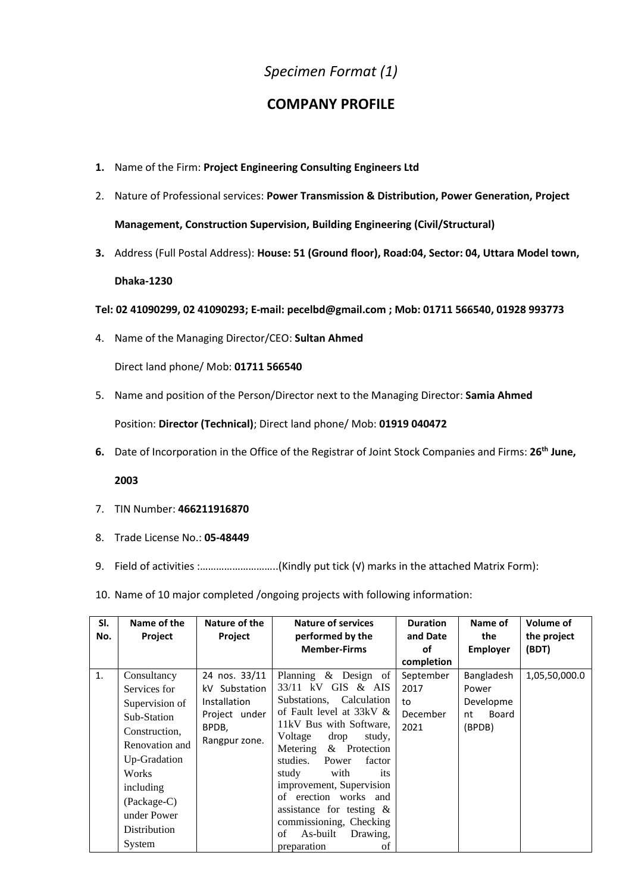## *Specimen Format (1)*

## **COMPANY PROFILE**

- **1.** Name of the Firm: **Project Engineering Consulting Engineers Ltd**
- 2. Nature of Professional services: **Power Transmission & Distribution, Power Generation, Project Management, Construction Supervision, Building Engineering (Civil/Structural)**
- **3.** Address (Full Postal Address): **House: 51 (Ground floor), Road:04, Sector: 04, Uttara Model town,**

**Dhaka-1230**

**Tel: 02 41090299, 02 41090293; E-mail: pecelbd@gmail.com ; Mob: 01711 566540, 01928 993773**

4. Name of the Managing Director/CEO: **Sultan Ahmed**

Direct land phone/ Mob: **01711 566540**

5. Name and position of the Person/Director next to the Managing Director: **Samia Ahmed**

Position: **Director (Technical)**; Direct land phone/ Mob: **01919 040472**

**6.** Date of Incorporation in the Office of the Registrar of Joint Stock Companies and Firms: **26th June,** 

**2003**

- 7. TIN Number: **466211916870**
- 8. Trade License No.: **05-48449**
- 9. Field of activities :.............................(Kindly put tick (√) marks in the attached Matrix Form):
- 10. Name of 10 major completed /ongoing projects with following information:

| SI.<br>No. | Name of the<br>Project                                                                                                                                                                        | Nature of the<br>Project                                                                         | <b>Nature of services</b><br>performed by the<br><b>Member-Firms</b>                                                                                                                                                                                                                                                                                                                                               | <b>Duration</b><br>and Date<br>οf                         | Name of<br>the<br><b>Employer</b>                         | Volume of<br>the project<br>(BDT) |
|------------|-----------------------------------------------------------------------------------------------------------------------------------------------------------------------------------------------|--------------------------------------------------------------------------------------------------|--------------------------------------------------------------------------------------------------------------------------------------------------------------------------------------------------------------------------------------------------------------------------------------------------------------------------------------------------------------------------------------------------------------------|-----------------------------------------------------------|-----------------------------------------------------------|-----------------------------------|
| 1.         | Consultancy<br>Services for<br>Supervision of<br>Sub-Station<br>Construction.<br>Renovation and<br>Up-Gradation<br>Works<br>including<br>(Package-C)<br>under Power<br>Distribution<br>System | 24 nos. 33/11<br>kV Substation<br><b>Installation</b><br>Project under<br>BPDB,<br>Rangpur zone. | Planning & Design of<br>33/11 kV<br>GIS & AIS<br>Substations, Calculation<br>of Fault level at 33kV &<br>11kV Bus with Software,<br>Voltage<br>drop<br>study,<br>& Protection<br>Metering<br>studies.<br>Power<br>factor<br>with<br>study<br>its<br>improvement, Supervision<br>of erection works and<br>assistance for testing $\&$<br>commissioning, Checking<br>As-built<br>Drawing,<br>of<br>preparation<br>οf | completion<br>September<br>2017<br>to<br>December<br>2021 | Bangladesh<br>Power<br>Developme<br>Board<br>nt<br>(BPDB) | 1,05,50,000.0                     |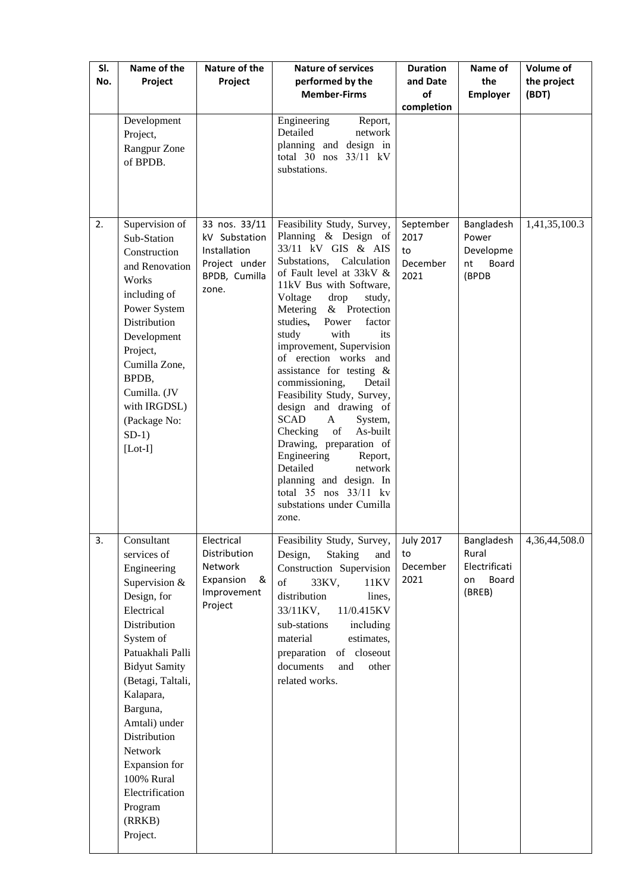| SI.<br>No. | Name of the<br>Project                                                                                                                                                                                                                                                                                                                       | Nature of the<br>Project                                                                  | <b>Nature of services</b><br>performed by the<br><b>Member-Firms</b>                                                                                                                                                                                                                                                                                                                                                                                                                                                                                                                                                                                                                                                                                                               | <b>Duration</b><br>and Date<br>of<br>completion | Name of<br>the<br><b>Employer</b>                             | <b>Volume of</b><br>the project<br>(BDT) |
|------------|----------------------------------------------------------------------------------------------------------------------------------------------------------------------------------------------------------------------------------------------------------------------------------------------------------------------------------------------|-------------------------------------------------------------------------------------------|------------------------------------------------------------------------------------------------------------------------------------------------------------------------------------------------------------------------------------------------------------------------------------------------------------------------------------------------------------------------------------------------------------------------------------------------------------------------------------------------------------------------------------------------------------------------------------------------------------------------------------------------------------------------------------------------------------------------------------------------------------------------------------|-------------------------------------------------|---------------------------------------------------------------|------------------------------------------|
|            | Development<br>Project,<br>Rangpur Zone<br>of BPDB.                                                                                                                                                                                                                                                                                          |                                                                                           | Engineering<br>Report,<br>Detailed<br>network<br>planning and design in<br>total 30 nos 33/11 kV<br>substations.                                                                                                                                                                                                                                                                                                                                                                                                                                                                                                                                                                                                                                                                   |                                                 |                                                               |                                          |
| 2.         | Supervision of<br>Sub-Station<br>Construction<br>and Renovation<br>Works<br>including of<br>Power System<br>Distribution<br>Development<br>Project,<br>Cumilla Zone,<br>BPDB,<br>Cumilla. (JV<br>with IRGDSL)<br>(Package No:<br>$SD-1)$<br>$[Lot-I]$                                                                                        | 33 nos. 33/11<br>kV Substation<br>Installation<br>Project under<br>BPDB, Cumilla<br>zone. | Feasibility Study, Survey,<br>Planning & Design of<br>33/11 kV GIS & AIS<br>Substations, Calculation<br>of Fault level at 33kV &<br>11kV Bus with Software,<br>Voltage<br>drop<br>study,<br>Metering<br>& Protection<br>studies,<br>Power<br>factor<br>study<br>with<br>its<br>improvement, Supervision<br>of erection works and<br>assistance for testing &<br>commissioning,<br>Detail<br>Feasibility Study, Survey,<br>design and drawing of<br><b>SCAD</b><br>A<br>System,<br>$% \left( \left( \mathcal{A},\mathcal{A}\right) \right) =\left( \mathcal{A},\mathcal{A}\right)$ of<br>As-built<br>Checking<br>Drawing, preparation of<br>Engineering<br>Report,<br>Detailed<br>network<br>planning and design. In<br>total 35 nos 33/11 kv<br>substations under Cumilla<br>zone. | September<br>2017<br>to<br>December<br>2021     | Bangladesh<br>Power<br>Developme<br>nt<br>Board<br>(BPDB      | 1,41,35,100.3                            |
| 3.         | Consultant<br>services of<br>Engineering<br>Supervision &<br>Design, for<br>Electrical<br>Distribution<br>System of<br>Patuakhali Palli<br><b>Bidyut Samity</b><br>(Betagi, Taltali,<br>Kalapara,<br>Barguna,<br>Amtali) under<br>Distribution<br>Network<br>Expansion for<br>100% Rural<br>Electrification<br>Program<br>(RRKB)<br>Project. | Electrical<br>Distribution<br>Network<br>Expansion<br>&<br>Improvement<br>Project         | Feasibility Study, Survey,<br><b>Staking</b><br>Design,<br>and<br>Construction Supervision<br>of<br>33KV,<br>11KV<br>distribution<br>lines,<br>11/0.415KV<br>33/11KV,<br>sub-stations<br>including<br>material<br>estimates,<br>of closeout<br>preparation<br>documents<br>other<br>and<br>related works.                                                                                                                                                                                                                                                                                                                                                                                                                                                                          | <b>July 2017</b><br>to<br>December<br>2021      | Bangladesh<br>Rural<br>Electrificati<br>Board<br>on<br>(BREB) | 4,36,44,508.0                            |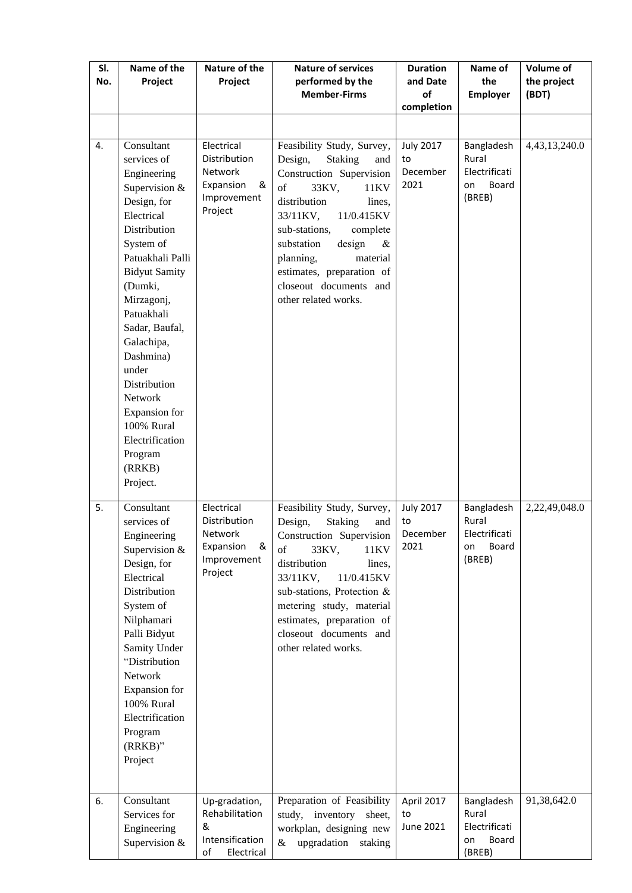| SI.<br>No. | Name of the<br>Project                                                                                                                                                                                                                                                                                                                                                     | Nature of the<br>Project                                                                 | <b>Nature of services</b><br>performed by the<br><b>Member-Firms</b>                                                                                                                                                                                                                                                                       | <b>Duration</b><br>and Date<br>of<br>completion | Name of<br>the<br><b>Employer</b>                             | <b>Volume of</b><br>the project<br>(BDT) |
|------------|----------------------------------------------------------------------------------------------------------------------------------------------------------------------------------------------------------------------------------------------------------------------------------------------------------------------------------------------------------------------------|------------------------------------------------------------------------------------------|--------------------------------------------------------------------------------------------------------------------------------------------------------------------------------------------------------------------------------------------------------------------------------------------------------------------------------------------|-------------------------------------------------|---------------------------------------------------------------|------------------------------------------|
|            |                                                                                                                                                                                                                                                                                                                                                                            |                                                                                          |                                                                                                                                                                                                                                                                                                                                            |                                                 |                                                               |                                          |
| 4.         | Consultant<br>services of<br>Engineering<br>Supervision &<br>Design, for<br>Electrical<br>Distribution<br>System of<br>Patuakhali Palli<br><b>Bidyut Samity</b><br>(Dumki,<br>Mirzagonj,<br>Patuakhali<br>Sadar, Baufal,<br>Galachipa,<br>Dashmina)<br>under<br>Distribution<br>Network<br>Expansion for<br>100% Rural<br>Electrification<br>Program<br>(RRKB)<br>Project. | Electrical<br>Distribution<br><b>Network</b><br>Expansion<br>&<br>Improvement<br>Project | Feasibility Study, Survey,<br>Design,<br><b>Staking</b><br>and<br>Construction Supervision<br>of<br>33KV,<br>11KV<br>distribution<br>lines,<br>11/0.415KV<br>33/11KV,<br>sub-stations,<br>complete<br>design<br>substation<br>$\&$<br>material<br>planning,<br>estimates, preparation of<br>closeout documents and<br>other related works. | <b>July 2017</b><br>to<br>December<br>2021      | Bangladesh<br>Rural<br>Electrificati<br>Board<br>on<br>(BREB) | 4,43,13,240.0                            |
| 5.         | Consultant<br>services of<br>Engineering<br>Supervision &<br>Design, for<br>Electrical<br>Distribution<br>System of<br>Nilphamari<br>Palli Bidyut<br>Samity Under<br>"Distribution<br>Network<br>Expansion for<br>100% Rural<br>Electrification<br>Program<br>(RRKB)"<br>Project                                                                                           | Electrical<br>Distribution<br>Network<br>Expansion<br>&<br>Improvement<br>Project        | Feasibility Study, Survey,<br>Design,<br><b>Staking</b><br>and<br>Construction Supervision<br>of<br>33KV,<br>11KV<br>distribution<br>lines,<br>33/11KV,<br>11/0.415KV<br>sub-stations, Protection &<br>metering study, material<br>estimates, preparation of<br>closeout documents and<br>other related works.                             | <b>July 2017</b><br>to<br>December<br>2021      | Bangladesh<br>Rural<br>Electrificati<br>Board<br>on<br>(BREB) | 2,22,49,048.0                            |
| 6.         | Consultant<br>Services for<br>Engineering<br>Supervision &                                                                                                                                                                                                                                                                                                                 | Up-gradation,<br>Rehabilitation<br>&<br>Intensification<br>оf<br>Electrical              | Preparation of Feasibility<br>study, inventory<br>sheet,<br>workplan, designing new<br>upgradation<br>staking<br>$\&$                                                                                                                                                                                                                      | April 2017<br>to<br>June 2021                   | Bangladesh<br>Rural<br>Electrificati<br>Board<br>on<br>(BREB) | 91,38,642.0                              |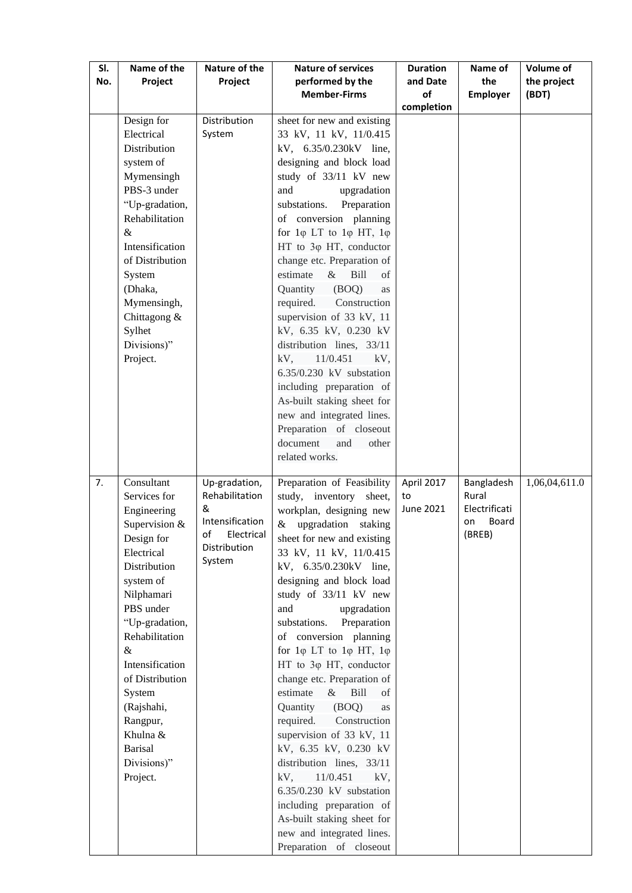| SI.<br>No. | Name of the<br>Project     | Nature of the<br>Project         | <b>Nature of services</b><br>performed by the<br><b>Member-Firms</b>             | <b>Duration</b><br>and Date<br>of | Name of<br>the<br><b>Employer</b> | Volume of<br>the project<br>(BDT) |
|------------|----------------------------|----------------------------------|----------------------------------------------------------------------------------|-----------------------------------|-----------------------------------|-----------------------------------|
|            |                            |                                  |                                                                                  | completion                        |                                   |                                   |
|            | Design for                 | Distribution                     | sheet for new and existing                                                       |                                   |                                   |                                   |
|            | Electrical                 | System                           | 33 kV, 11 kV, 11/0.415                                                           |                                   |                                   |                                   |
|            | Distribution               |                                  | kV, 6.35/0.230kV line,                                                           |                                   |                                   |                                   |
|            | system of                  |                                  | designing and block load                                                         |                                   |                                   |                                   |
|            | Mymensingh                 |                                  | study of 33/11 kV new                                                            |                                   |                                   |                                   |
|            | PBS-3 under                |                                  | and<br>upgradation                                                               |                                   |                                   |                                   |
|            | "Up-gradation,             |                                  | substations.<br>Preparation                                                      |                                   |                                   |                                   |
|            | Rehabilitation             |                                  | of conversion planning                                                           |                                   |                                   |                                   |
|            | $\&$<br>Intensification    |                                  | for $1\varphi$ LT to $1\varphi$ HT, $1\varphi$<br>HT to $3\varphi$ HT, conductor |                                   |                                   |                                   |
|            | of Distribution            |                                  | change etc. Preparation of                                                       |                                   |                                   |                                   |
|            | System                     |                                  | $&$ Bill<br>estimate<br>of                                                       |                                   |                                   |                                   |
|            | (Dhaka,                    |                                  | Quantity<br>(BOQ)<br>as                                                          |                                   |                                   |                                   |
|            | Mymensingh,                |                                  | required.<br>Construction                                                        |                                   |                                   |                                   |
|            | Chittagong &               |                                  | supervision of 33 kV, 11                                                         |                                   |                                   |                                   |
|            | Sylhet                     |                                  | kV, 6.35 kV, 0.230 kV                                                            |                                   |                                   |                                   |
|            | Divisions)"                |                                  | distribution lines, 33/11                                                        |                                   |                                   |                                   |
|            | Project.                   |                                  | $kV$ , $11/0.451$<br>kV,                                                         |                                   |                                   |                                   |
|            |                            |                                  | 6.35/0.230 kV substation                                                         |                                   |                                   |                                   |
|            |                            |                                  | including preparation of                                                         |                                   |                                   |                                   |
|            |                            |                                  | As-built staking sheet for                                                       |                                   |                                   |                                   |
|            |                            |                                  | new and integrated lines.                                                        |                                   |                                   |                                   |
|            |                            |                                  | Preparation of closeout<br>document<br>and<br>other                              |                                   |                                   |                                   |
|            |                            |                                  | related works.                                                                   |                                   |                                   |                                   |
|            |                            |                                  |                                                                                  |                                   |                                   |                                   |
| 7.         | Consultant                 | Up-gradation,                    | Preparation of Feasibility                                                       | April 2017                        | Bangladesh                        | 1,06,04,611.0                     |
|            | Services for               | Rehabilitation                   | study, inventory<br>sheet,                                                       | to                                | Rural                             |                                   |
|            | Engineering                | &                                | workplan, designing new                                                          | June 2021                         | Electrificati                     |                                   |
|            | Supervision &              | Intensification<br>of Electrical | & upgradation staking                                                            |                                   | Board<br>on<br>(BREB)             |                                   |
|            | Design for                 | Distribution                     | sheet for new and existing                                                       |                                   |                                   |                                   |
|            | Electrical<br>Distribution | System                           | 33 kV, 11 kV, 11/0.415                                                           |                                   |                                   |                                   |
|            | system of                  |                                  | kV, 6.35/0.230kV line,<br>designing and block load                               |                                   |                                   |                                   |
|            | Nilphamari                 |                                  | study of 33/11 kV new                                                            |                                   |                                   |                                   |
|            | PBS under                  |                                  | and<br>upgradation                                                               |                                   |                                   |                                   |
|            | "Up-gradation,             |                                  | substations.<br>Preparation                                                      |                                   |                                   |                                   |
|            | Rehabilitation             |                                  | of conversion planning                                                           |                                   |                                   |                                   |
|            | $\&$                       |                                  | for $1\varphi$ LT to $1\varphi$ HT, $1\varphi$                                   |                                   |                                   |                                   |
|            | Intensification            |                                  | HT to 3 <sub>0</sub> HT, conductor                                               |                                   |                                   |                                   |
|            | of Distribution            |                                  | change etc. Preparation of                                                       |                                   |                                   |                                   |
|            | System                     |                                  | estimate<br>Bill<br>$\&$<br>of                                                   |                                   |                                   |                                   |
|            | (Rajshahi,                 |                                  | Quantity (BOQ)<br>as                                                             |                                   |                                   |                                   |
|            | Rangpur,                   |                                  | required.<br>Construction                                                        |                                   |                                   |                                   |
|            | Khulna &                   |                                  | supervision of 33 kV, 11                                                         |                                   |                                   |                                   |
|            | <b>Barisal</b>             |                                  | kV, 6.35 kV, 0.230 kV                                                            |                                   |                                   |                                   |
|            | Divisions)"<br>Project.    |                                  | distribution lines, 33/11<br>$kV$ , 11/0.451<br>kV,                              |                                   |                                   |                                   |
|            |                            |                                  | 6.35/0.230 kV substation                                                         |                                   |                                   |                                   |
|            |                            |                                  | including preparation of                                                         |                                   |                                   |                                   |
|            |                            |                                  | As-built staking sheet for                                                       |                                   |                                   |                                   |
|            |                            |                                  | new and integrated lines.                                                        |                                   |                                   |                                   |
|            |                            |                                  | Preparation of closeout                                                          |                                   |                                   |                                   |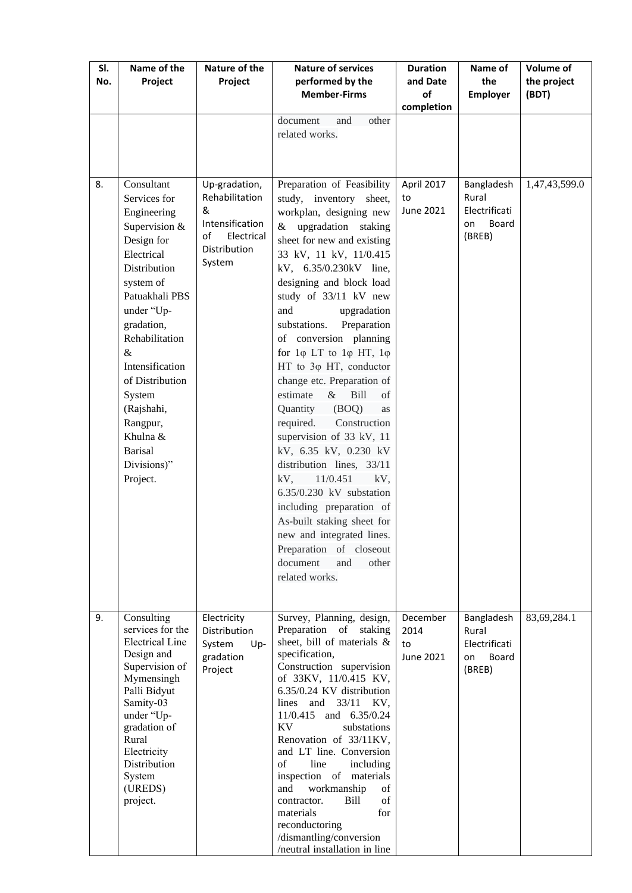| SI.<br>No. | Name of the<br>Project                                                                                                                                                                                                                                                                                                         | Nature of the<br>Project                                                                              | <b>Nature of services</b><br>performed by the<br><b>Member-Firms</b>                                                                                                                                                                                                                                                                                                                                                                                                                                                                                                                                                                                                                                                                                                                                                                             | <b>Duration</b><br>and Date<br>of<br>completion | Name of<br>the<br><b>Employer</b>                             | <b>Volume of</b><br>the project<br>(BDT) |
|------------|--------------------------------------------------------------------------------------------------------------------------------------------------------------------------------------------------------------------------------------------------------------------------------------------------------------------------------|-------------------------------------------------------------------------------------------------------|--------------------------------------------------------------------------------------------------------------------------------------------------------------------------------------------------------------------------------------------------------------------------------------------------------------------------------------------------------------------------------------------------------------------------------------------------------------------------------------------------------------------------------------------------------------------------------------------------------------------------------------------------------------------------------------------------------------------------------------------------------------------------------------------------------------------------------------------------|-------------------------------------------------|---------------------------------------------------------------|------------------------------------------|
|            |                                                                                                                                                                                                                                                                                                                                |                                                                                                       | document<br>and<br>other<br>related works.                                                                                                                                                                                                                                                                                                                                                                                                                                                                                                                                                                                                                                                                                                                                                                                                       |                                                 |                                                               |                                          |
| 8.         | Consultant<br>Services for<br>Engineering<br>Supervision &<br>Design for<br>Electrical<br>Distribution<br>system of<br>Patuakhali PBS<br>under "Up-<br>gradation,<br>Rehabilitation<br>$\&$<br>Intensification<br>of Distribution<br>System<br>(Rajshahi,<br>Rangpur,<br>Khulna &<br><b>Barisal</b><br>Divisions)"<br>Project. | Up-gradation,<br>Rehabilitation<br>&<br>Intensification<br>of<br>Electrical<br>Distribution<br>System | Preparation of Feasibility<br>study, inventory sheet,<br>workplan, designing new<br>& upgradation staking<br>sheet for new and existing<br>33 kV, 11 kV, 11/0.415<br>kV, 6.35/0.230kV line,<br>designing and block load<br>study of 33/11 kV new<br>and<br>upgradation<br>substations.<br>Preparation<br>of conversion planning<br>for $1\varphi$ LT to $1\varphi$ HT, $1\varphi$<br>HT to 3 <sub>0</sub> HT, conductor<br>change etc. Preparation of<br>estimate<br>$&$ Bill<br>of<br>Quantity (BOQ)<br>as<br>required.<br>Construction<br>supervision of 33 kV, 11<br>kV, 6.35 kV, 0.230 kV<br>distribution lines, 33/11<br>$kV$ , 11/0.451<br>kV,<br>6.35/0.230 kV substation<br>including preparation of<br>As-built staking sheet for<br>new and integrated lines.<br>Preparation of closeout<br>document<br>other<br>and<br>related works. | April 2017<br>to<br>June 2021                   | Bangladesh<br>Rural<br>Electrificati<br>Board<br>on<br>(BREB) | 1,47,43,599.0                            |
| 9.         | Consulting<br>services for the<br><b>Electrical Line</b><br>Design and<br>Supervision of<br>Mymensingh<br>Palli Bidyut<br>Samity-03<br>under "Up-<br>gradation of<br>Rural<br>Electricity<br>Distribution<br>System<br>(UREDS)<br>project.                                                                                     | Electricity<br>Distribution<br>System<br>Up-<br>gradation<br>Project                                  | Survey, Planning, design,<br>Preparation of staking<br>sheet, bill of materials &<br>specification,<br>Construction supervision<br>of 33KV, 11/0.415 KV,<br>6.35/0.24 KV distribution<br>lines<br>and 33/11 KV,<br>11/0.415<br>and 6.35/0.24<br>KV<br>substations<br>Renovation of 33/11KV,<br>and LT line. Conversion<br>of<br>line<br>including<br>inspection of materials<br>workmanship<br>and<br>of<br>Bill<br>of<br>contractor.<br>materials<br>for<br>reconductoring<br>/dismantling/conversion<br>/neutral installation in line                                                                                                                                                                                                                                                                                                          | December<br>2014<br>to<br>June 2021             | Bangladesh<br>Rural<br>Electrificati<br>Board<br>on<br>(BREB) | 83,69,284.1                              |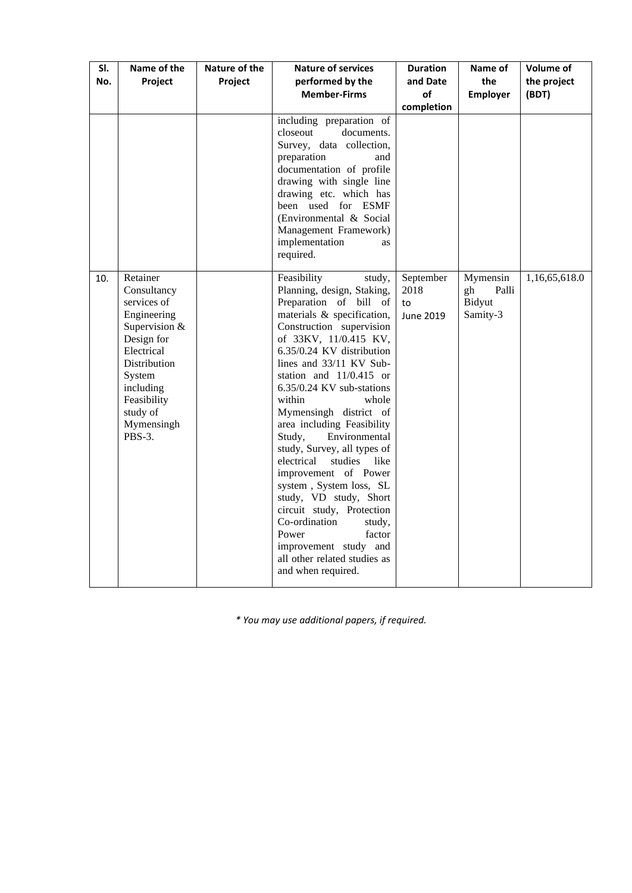| SI.<br>No. | Name of the<br>Project                                                                                                                                                                       | Nature of the<br>Project | <b>Nature of services</b><br>performed by the<br><b>Member-Firms</b>                                                                                                                                                                                                                                                                                                                                                                                                                                                                                                                                                                                                                          | <b>Duration</b><br>and Date<br>οf<br>completion | Name of<br>the<br><b>Employer</b>             | Volume of<br>the project<br>(BDT) |
|------------|----------------------------------------------------------------------------------------------------------------------------------------------------------------------------------------------|--------------------------|-----------------------------------------------------------------------------------------------------------------------------------------------------------------------------------------------------------------------------------------------------------------------------------------------------------------------------------------------------------------------------------------------------------------------------------------------------------------------------------------------------------------------------------------------------------------------------------------------------------------------------------------------------------------------------------------------|-------------------------------------------------|-----------------------------------------------|-----------------------------------|
|            |                                                                                                                                                                                              |                          | including preparation of<br>closeout<br>documents.<br>Survey, data collection,<br>preparation<br>and<br>documentation of profile<br>drawing with single line<br>drawing etc. which has<br>been used for ESMF<br>(Environmental & Social<br>Management Framework)<br>implementation<br><b>as</b><br>required.                                                                                                                                                                                                                                                                                                                                                                                  |                                                 |                                               |                                   |
| 10.        | Retainer<br>Consultancy<br>services of<br>Engineering<br>Supervision &<br>Design for<br>Electrical<br>Distribution<br>System<br>including<br>Feasibility<br>study of<br>Mymensingh<br>PBS-3. |                          | Feasibility<br>study,<br>Planning, design, Staking,<br>Preparation of bill of<br>materials & specification,<br>Construction supervision<br>of 33KV, 11/0.415 KV,<br>6.35/0.24 KV distribution<br>lines and 33/11 KV Sub-<br>station and 11/0.415 or<br>6.35/0.24 KV sub-stations<br>within<br>whole<br>Mymensingh district of<br>area including Feasibility<br>Environmental<br>Study,<br>study, Survey, all types of<br>studies<br>electrical<br>like<br>improvement of Power<br>system, System loss, SL<br>study, VD study, Short<br>circuit study, Protection<br>Co-ordination<br>study,<br>Power<br>factor<br>improvement study and<br>all other related studies as<br>and when required. | September<br>2018<br>to<br><b>June 2019</b>     | Mymensin<br>Palli<br>gh<br>Bidyut<br>Samity-3 | 1,16,65,618.0                     |

*\* You may use additional papers, if required.*